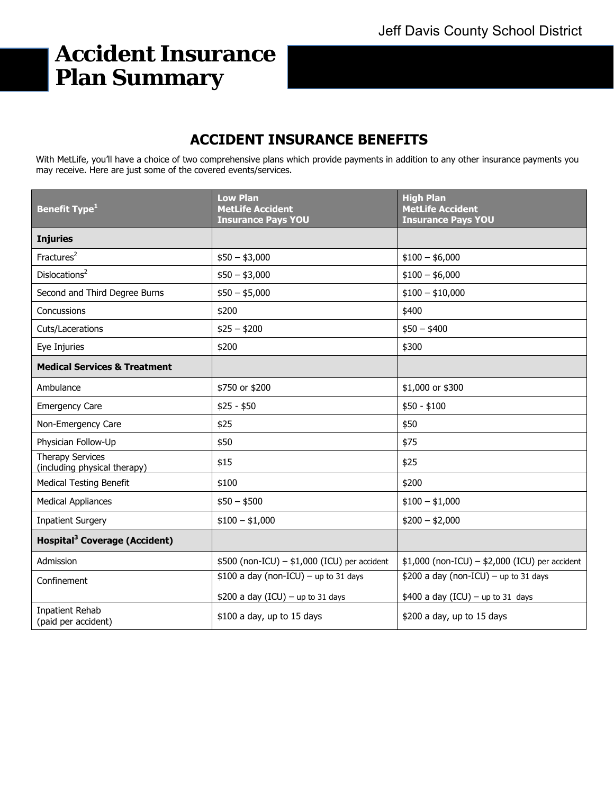# **Accident Insurance Plan Summary**

# **ACCIDENT INSURANCE BENEFITS**

With MetLife, you'll have a choice of two comprehensive plans which provide payments in addition to any other insurance payments you may receive. Here are just some of the covered events/services.

| <b>Benefit Type<sup>1</sup></b>                         | <b>Low Plan</b><br><b>MetLife Accident</b><br><b>Insurance Pays YOU</b> | <b>High Plan</b><br><b>MetLife Accident</b><br><b>Insurance Pays YOU</b> |
|---------------------------------------------------------|-------------------------------------------------------------------------|--------------------------------------------------------------------------|
| <b>Injuries</b>                                         |                                                                         |                                                                          |
| Fractures <sup>2</sup>                                  | $$50 - $3,000$                                                          | $$100 - $6,000$                                                          |
| Dislocations <sup>2</sup>                               | $$50 - $3,000$                                                          | $$100 - $6,000$                                                          |
| Second and Third Degree Burns                           | $$50 - $5,000$                                                          | $$100 - $10,000$                                                         |
| Concussions                                             | \$200                                                                   | \$400                                                                    |
| Cuts/Lacerations                                        | $$25 - $200$                                                            | $$50 - $400$                                                             |
| Eye Injuries                                            | \$200                                                                   | \$300                                                                    |
| <b>Medical Services &amp; Treatment</b>                 |                                                                         |                                                                          |
| Ambulance                                               | \$750 or \$200                                                          | \$1,000 or \$300                                                         |
| <b>Emergency Care</b>                                   | $$25 - $50$                                                             | $$50 - $100$                                                             |
| Non-Emergency Care                                      | \$25                                                                    | \$50                                                                     |
| Physician Follow-Up                                     | \$50                                                                    | \$75                                                                     |
| <b>Therapy Services</b><br>(including physical therapy) | \$15                                                                    | \$25                                                                     |
| <b>Medical Testing Benefit</b>                          | \$100                                                                   | \$200                                                                    |
| <b>Medical Appliances</b>                               | $$50 - $500$                                                            | $$100 - $1,000$                                                          |
| <b>Inpatient Surgery</b>                                | $$100 - $1,000$                                                         | $$200 - $2,000$                                                          |
| Hospital <sup>3</sup> Coverage (Accident)               |                                                                         |                                                                          |
| Admission                                               | $$500$ (non-ICU) - $$1,000$ (ICU) per accident                          | $$1,000$ (non-ICU) - $$2,000$ (ICU) per accident                         |
| Confinement                                             | $$100$ a day (non-ICU) - up to 31 days                                  | $$200$ a day (non-ICU) - up to 31 days                                   |
|                                                         | \$200 a day $(ICU)$ - up to 31 days                                     | $$400$ a day (ICU) - up to 31 days                                       |
| <b>Inpatient Rehab</b><br>(paid per accident)           | \$100 a day, up to 15 days                                              | \$200 a day, up to 15 days                                               |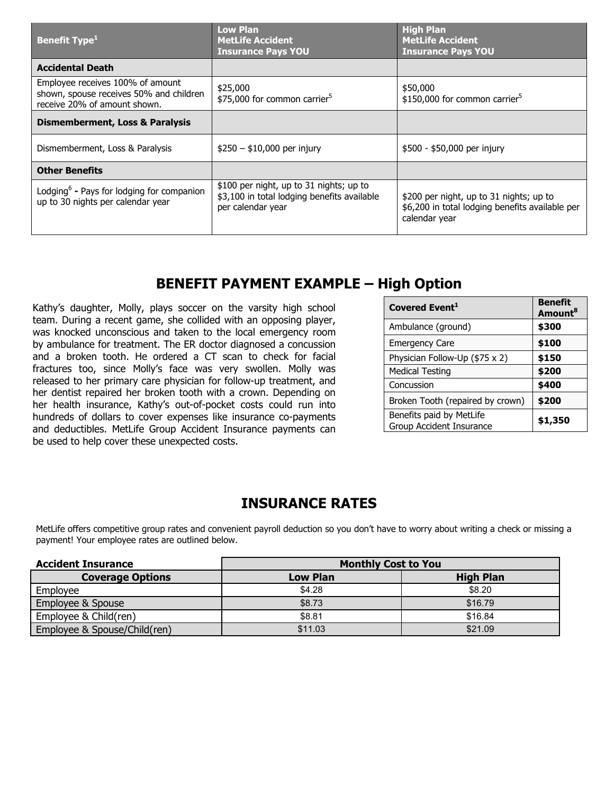| <b>Benefit Type</b> <sup>1</sup>                                                                            | <b>Low Plan</b><br><b>MetLife Accident</b><br><b>Insurance Pays YOU</b>                                     | <b>High Plan</b><br><b>MetLife Accident</b><br><b>Insurance Pays YOU</b>                                    |
|-------------------------------------------------------------------------------------------------------------|-------------------------------------------------------------------------------------------------------------|-------------------------------------------------------------------------------------------------------------|
| <b>Accidental Death</b>                                                                                     |                                                                                                             |                                                                                                             |
| Employee receives 100% of amount<br>shown, spouse receives 50% and children<br>receive 20% of amount shown. | \$25,000<br>\$75,000 for common carrier <sup>5</sup>                                                        | \$50,000<br>\$150,000 for common carrier <sup>5</sup>                                                       |
| <b>Dismemberment, Loss &amp; Paralysis</b>                                                                  |                                                                                                             |                                                                                                             |
| Dismemberment, Loss & Paralysis                                                                             | $$250 - $10,000$ per injury                                                                                 | \$500 - \$50,000 per injury                                                                                 |
| <b>Other Benefits</b>                                                                                       |                                                                                                             |                                                                                                             |
| Lodging <sup>6</sup> - Pays for lodging for companion<br>up to 30 nights per calendar year                  | \$100 per night, up to 31 nights; up to<br>\$3,100 in total lodging benefits available<br>per calendar year | \$200 per night, up to 31 nights; up to<br>\$6,200 in total lodging benefits available per<br>calendar year |

### **BENEFIT PAYMENT EXAMPLE – High Option**

Kathy's daughter, Molly, plays soccer on the varsity high school team. During a recent game, she collided with an opposing player, was knocked unconscious and taken to the local emergency room by ambulance for treatment. The ER doctor diagnosed a concussion and a broken tooth. He ordered a CT scan to check for facial fractures too, since Molly's face was very swollen. Molly was released to her primary care physician for follow-up treatment, and her dentist repaired her broken tooth with a crown. Depending on her health insurance, Kathy's out-of-pocket costs could run into hundreds of dollars to cover expenses like insurance co-payments and deductibles. MetLife Group Accident Insurance payments can be used to help cover these unexpected costs.

| Covered Event <sup>1</sup>                           | <b>Benefit</b><br>Amount <sup>8</sup> |
|------------------------------------------------------|---------------------------------------|
| Ambulance (ground)                                   | \$300                                 |
| <b>Emergency Care</b>                                | \$100                                 |
| Physician Follow-Up (\$75 x 2)                       | \$150                                 |
| <b>Medical Testing</b>                               | \$200                                 |
| Concussion                                           | \$400                                 |
| Broken Tooth (repaired by crown)                     | \$200                                 |
| Benefits paid by MetLife<br>Group Accident Insurance | \$1,350                               |

## **INSURANCE RATES**

MetLife offers competitive group rates and convenient payroll deduction so you don't have to worry about writing a check or missing a payment! Your employee rates are outlined below.

| <b>Accident Insurance</b>    | <b>Monthly Cost to You</b> |                  |
|------------------------------|----------------------------|------------------|
| <b>Coverage Options</b>      | <b>Low Plan</b>            | <b>High Plan</b> |
| Employee                     | \$4.28                     | \$8.20           |
| Employee & Spouse            | \$8.73                     | \$16.79          |
| Employee & Child(ren)        | \$8.81                     | \$16.84          |
| Employee & Spouse/Child(ren) | \$11.03                    | \$21.09          |